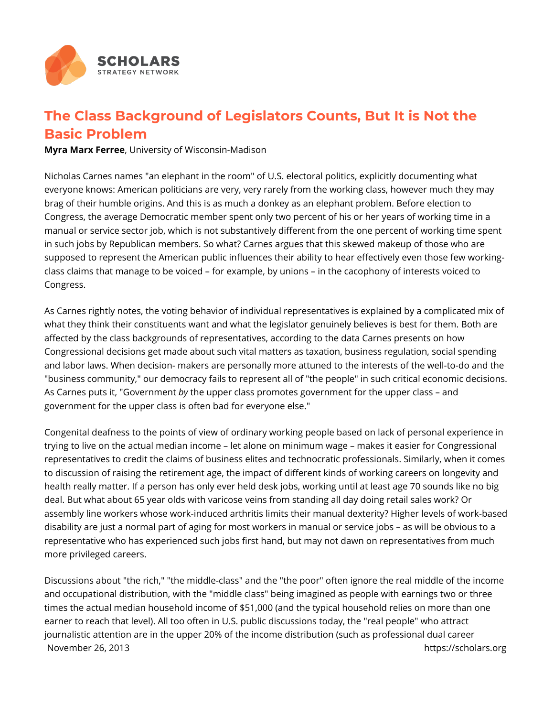

## **The Class Background of Legislators Counts, But It is Not the Basic Problem**

**Myra Marx Ferree**, University of Wisconsin-Madison

Nicholas Carnes names "an elephant in the room" of U.S. electoral politics, explicitly documenting what everyone knows: American politicians are very, very rarely from the working class, however much they may brag of their humble origins. And this is as much a donkey as an elephant problem. Before election to Congress, the average Democratic member spent only two percent of his or her years of working time in a manual or service sector job, which is not substantively different from the one percent of working time spent in such jobs by Republican members. So what? Carnes argues that this skewed makeup of those who are supposed to represent the American public influences their ability to hear effectively even those few workingclass claims that manage to be voiced – for example, by unions – in the cacophony of interests voiced to Congress.

As Carnes rightly notes, the voting behavior of individual representatives is explained by a complicated mix of what they think their constituents want and what the legislator genuinely believes is best for them. Both are affected by the class backgrounds of representatives, according to the data Carnes presents on how Congressional decisions get made about such vital matters as taxation, business regulation, social spending and labor laws. When decision- makers are personally more attuned to the interests of the well-to-do and the "business community," our democracy fails to represent all of "the people" in such critical economic decisions. As Carnes puts it, "Government *by* the upper class promotes government for the upper class – and government for the upper class is often bad for everyone else."

Congenital deafness to the points of view of ordinary working people based on lack of personal experience in trying to live on the actual median income – let alone on minimum wage – makes it easier for Congressional representatives to credit the claims of business elites and technocratic professionals. Similarly, when it comes to discussion of raising the retirement age, the impact of different kinds of working careers on longevity and health really matter. If a person has only ever held desk jobs, working until at least age 70 sounds like no big deal. But what about 65 year olds with varicose veins from standing all day doing retail sales work? Or assembly line workers whose work-induced arthritis limits their manual dexterity? Higher levels of work-based disability are just a normal part of aging for most workers in manual or service jobs – as will be obvious to a representative who has experienced such jobs first hand, but may not dawn on representatives from much more privileged careers.

Discussions about "the rich," "the middle-class" and the "the poor" often ignore the real middle of the income and occupational distribution, with the "middle class" being imagined as people with earnings two or three times the actual median household income of \$51,000 (and the typical household relies on more than one earner to reach that level). All too often in U.S. public discussions today, the "real people" who attract journalistic attention are in the upper 20% of the income distribution (such as professional dual career November 26, 2013 **https://scholars.org**